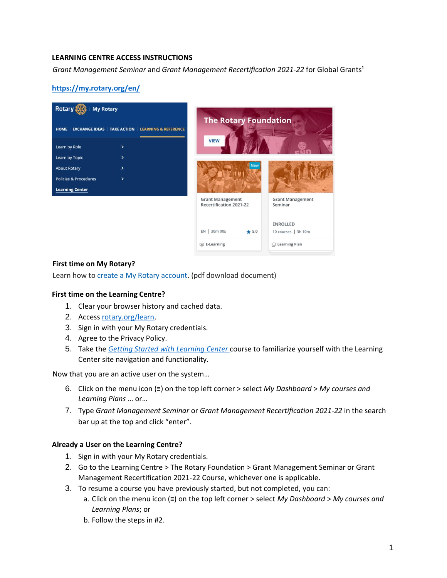## **LEARNING CENTRE ACCESS INSTRUCTIONS**

*Grant Management Seminar* and *Grant Management Recertification 2021-22* for Global Grants<sup>1</sup>

# **<https://my.rotary.org/en/>**



#### **First time on My Rotary?**

Learn how to [create a My Rotary account.](http://rotary.msgfocus.com/c/14jKStBTDOsGN9wEX9LnfBBaVdj) (pdf download document)

### **First time on the Learning Centre?**

- 1. Clear your browser history and cached data.
- 2. Access [rotary.org/learn.](https://rotary.org/learn)
- 3. Sign in with your My Rotary credentials.
- 4. Agree to the Privacy Policy.
- 5. Take the *[Getting Started with Learning Center](https://my.rotary.org/learn?deep-link=https%3A//learn.rotary.org/members/learn/course/internal/view/elearning/208/getting-started-with-the-learning-center)* [co](https://my.rotary.org/learn?deep-link=https%3A//learn.rotary.org/members/learn/course/internal/view/elearning/208/getting-started-with-the-learning-center)urse to familiarize yourself with the Learning Center site navigation and functionality.

Now that you are an active user on the system…

- 6. Click on the menu icon (≡) on the top left corner > select *My Dashboard* > *My courses and Learning Plans* … or…
- 7. Type *Grant Management Seminar* or *Grant Management Recertification 2021-22* in the search bar up at the top and click "enter".

### **Already a User on the Learning Centre?**

- 1. Sign in with your My Rotary credentials.
- 2. Go to the Learning Centre > The Rotary Foundation > Grant Management Seminar or Grant Management Recertification 2021-22 Course, whichever one is applicable.
- 3. To resume a course you have previously started, but not completed, you can:
	- a. Click on the menu icon (≡) on the top left corner > select *My Dashboard* > *My courses and Learning Plans*; or
	- b. Follow the steps in #2.